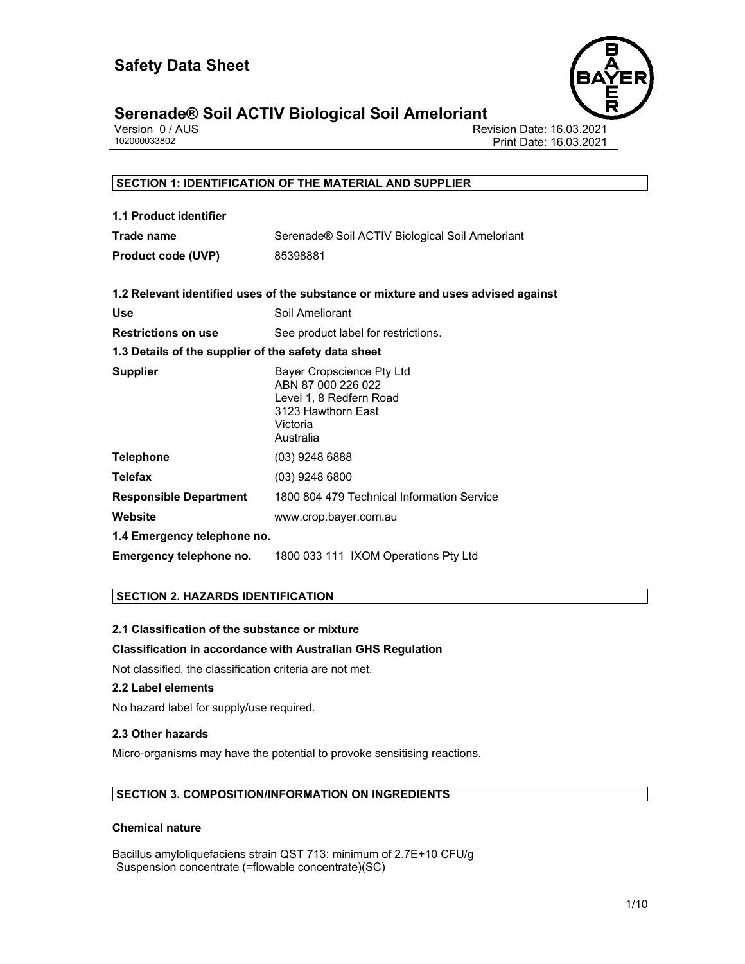

# **Serenade® Soil ACTIV Biological Soil Ameloriant**

|              | Version 0/AUS |
|--------------|---------------|
| 102000033802 |               |

Revision Date: 16.03.2021 Print Date: 16.03.2021

# **SECTION 1: IDENTIFICATION OF THE MATERIAL AND SUPPLIER 1.1 Product identifier Trade name Serenade® Soil ACTIV Biological Soil Ameloriant Product code (UVP)** 85398881 **1.2 Relevant identified uses of the substance or mixture and uses advised against**  Use **Use** Soil Ameliorant **Restrictions on use** See product label for restrictions. **1.3 Details of the supplier of the safety data sheet Supplier** Bayer Cropscience Pty Ltd ABN 87 000 226 022 Level 1, 8 Redfern Road 3123 Hawthorn East Victoria Australia **Telephone** (03) 9248 6888 **Telefax** (03) 9248 6800 **Responsible Department** 1800 804 479 Technical Information Service **Website** www.crop.bayer.com.au **1.4 Emergency telephone no. Emergency telephone no.** 1800 033 111 IXOM Operations Pty Ltd

### **SECTION 2. HAZARDS IDENTIFICATION**

#### **2.1 Classification of the substance or mixture**

#### **Classification in accordance with Australian GHS Regulation**

Not classified, the classification criteria are not met.

#### **2.2 Label elements**

No hazard label for supply/use required.

#### **2.3 Other hazards**

Micro-organisms may have the potential to provoke sensitising reactions.

#### **SECTION 3. COMPOSITION/INFORMATION ON INGREDIENTS**

#### **Chemical nature**

Bacillus amyloliquefaciens strain QST 713: minimum of 2.7E+10 CFU/g Suspension concentrate (=flowable concentrate)(SC)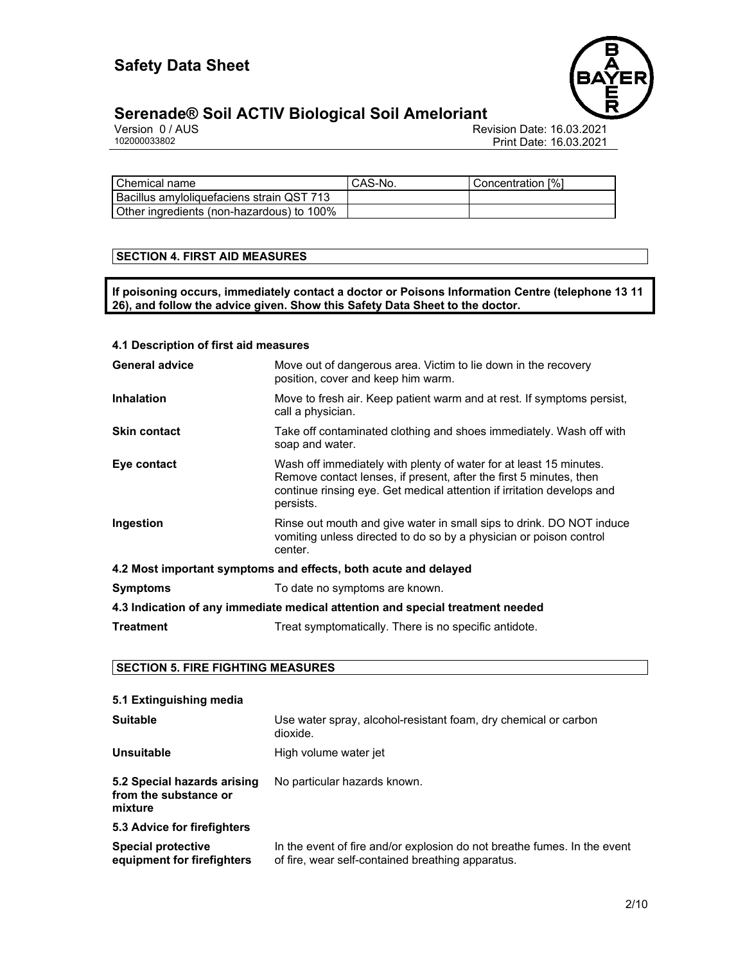

# **Serenade® Soil ACTIV Biological Soil Ameloriant**

Version 0 / AUS Revision Date: 16.03.2021 Print Date: 16.03.2021

| Chemical name                               | CAS-No. | Concentration [%] |
|---------------------------------------------|---------|-------------------|
| l Bacillus amvloliquefaciens strain QST 713 |         |                   |
| Other ingredients (non-hazardous) to 100%   |         |                   |

#### **SECTION 4. FIRST AID MEASURES**

**If poisoning occurs, immediately contact a doctor or Poisons Information Centre (telephone 13 11 26), and follow the advice given. Show this Safety Data Sheet to the doctor.** 

### **4.1 Description of first aid measures General advice** Move out of dangerous area. Victim to lie down in the recovery position, cover and keep him warm. **Inhalation** Move to fresh air. Keep patient warm and at rest. If symptoms persist, call a physician. **Skin contact** Take off contaminated clothing and shoes immediately. Wash off with soap and water. **Eye contact** Wash off immediately with plenty of water for at least 15 minutes. Remove contact lenses, if present, after the first 5 minutes, then continue rinsing eye. Get medical attention if irritation develops and persists. **Ingestion** Rinse out mouth and give water in small sips to drink. DO NOT induce vomiting unless directed to do so by a physician or poison control center. **4.2 Most important symptoms and effects, both acute and delayed Symptoms** To date no symptoms are known. **4.3 Indication of any immediate medical attention and special treatment needed Treatment** Treat symptomatically. There is no specific antidote.

#### **SECTION 5. FIRE FIGHTING MEASURES**

| 5.1 Extinguishing media                                         |                                                                                                                               |
|-----------------------------------------------------------------|-------------------------------------------------------------------------------------------------------------------------------|
| <b>Suitable</b>                                                 | Use water spray, alcohol-resistant foam, dry chemical or carbon<br>dioxide.                                                   |
| <b>Unsuitable</b>                                               | High volume water jet                                                                                                         |
| 5.2 Special hazards arising<br>from the substance or<br>mixture | No particular hazards known.                                                                                                  |
| 5.3 Advice for firefighters                                     |                                                                                                                               |
| <b>Special protective</b><br>equipment for firefighters         | In the event of fire and/or explosion do not breathe fumes. In the event<br>of fire, wear self-contained breathing apparatus. |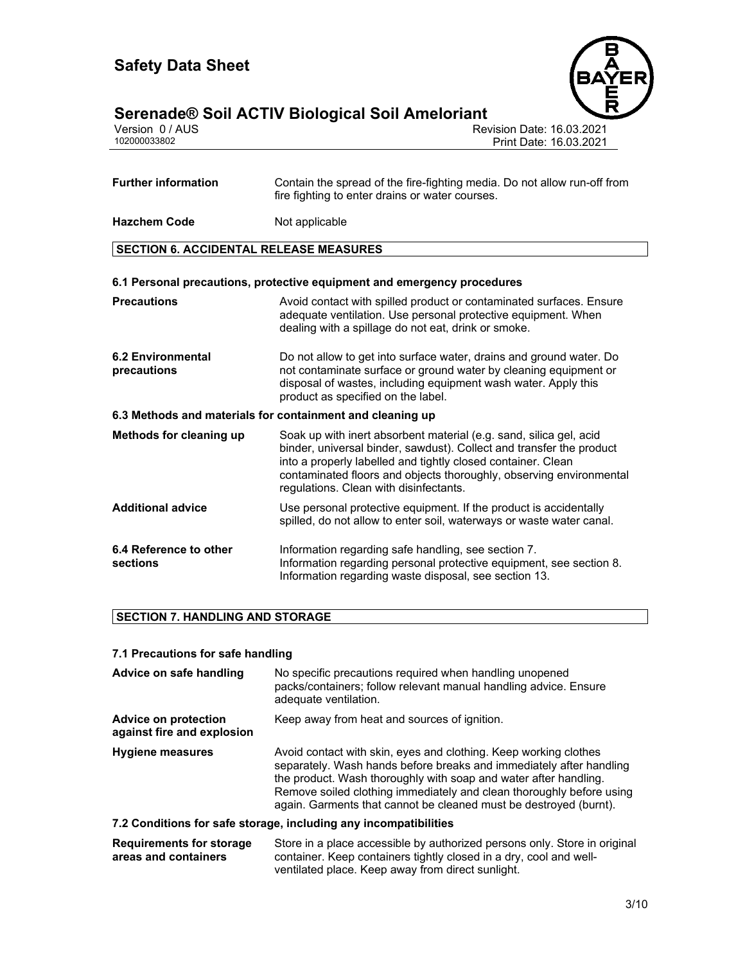

# **Serenade® Soil ACTIV Biological Soil Ameloriant 3/10**

| Version 0 / AUS |  |
|-----------------|--|
| 102000033802    |  |

Revision Date: 16.03.2021 Print Date: 16.03.2021

| <b>Further information</b>                    | Contain the spread of the fire-fighting media. Do not allow run-off from<br>fire fighting to enter drains or water courses.                                                                                                                                                                                                 |  |  |
|-----------------------------------------------|-----------------------------------------------------------------------------------------------------------------------------------------------------------------------------------------------------------------------------------------------------------------------------------------------------------------------------|--|--|
| <b>Hazchem Code</b>                           | Not applicable                                                                                                                                                                                                                                                                                                              |  |  |
| <b>SECTION 6. ACCIDENTAL RELEASE MEASURES</b> |                                                                                                                                                                                                                                                                                                                             |  |  |
|                                               | 6.1 Personal precautions, protective equipment and emergency procedures                                                                                                                                                                                                                                                     |  |  |
| <b>Precautions</b>                            | Avoid contact with spilled product or contaminated surfaces. Ensure<br>adequate ventilation. Use personal protective equipment. When<br>dealing with a spillage do not eat, drink or smoke.                                                                                                                                 |  |  |
| <b>6.2 Environmental</b><br>precautions       | Do not allow to get into surface water, drains and ground water. Do<br>not contaminate surface or ground water by cleaning equipment or<br>disposal of wastes, including equipment wash water. Apply this<br>product as specified on the label.                                                                             |  |  |
|                                               | 6.3 Methods and materials for containment and cleaning up                                                                                                                                                                                                                                                                   |  |  |
| Methods for cleaning up                       | Soak up with inert absorbent material (e.g. sand, silica gel, acid<br>binder, universal binder, sawdust). Collect and transfer the product<br>into a properly labelled and tightly closed container. Clean<br>contaminated floors and objects thoroughly, observing environmental<br>regulations. Clean with disinfectants. |  |  |
| <b>Additional advice</b>                      | Use personal protective equipment. If the product is accidentally<br>spilled, do not allow to enter soil, waterways or waste water canal.                                                                                                                                                                                   |  |  |
| 6.4 Reference to other<br>sections            | Information regarding safe handling, see section 7.<br>Information regarding personal protective equipment, see section 8.<br>Information regarding waste disposal, see section 13.                                                                                                                                         |  |  |

#### **SECTION 7. HANDLING AND STORAGE**

#### **7.1 Precautions for safe handling**

| Advice on safe handling                            | No specific precautions required when handling unopened<br>packs/containers; follow relevant manual handling advice. Ensure<br>adequate ventilation.                                                                                                                                                                                                     |
|----------------------------------------------------|----------------------------------------------------------------------------------------------------------------------------------------------------------------------------------------------------------------------------------------------------------------------------------------------------------------------------------------------------------|
| Advice on protection<br>against fire and explosion | Keep away from heat and sources of ignition.                                                                                                                                                                                                                                                                                                             |
| <b>Hygiene measures</b>                            | Avoid contact with skin, eyes and clothing. Keep working clothes<br>separately. Wash hands before breaks and immediately after handling<br>the product. Wash thoroughly with soap and water after handling.<br>Remove soiled clothing immediately and clean thoroughly before using<br>again. Garments that cannot be cleaned must be destroyed (burnt). |
|                                                    | 7.2 Conditions for safe storage, including any incompatibilities                                                                                                                                                                                                                                                                                         |

#### **Requirements for storage areas and containers** Store in a place accessible by authorized persons only. Store in original container. Keep containers tightly closed in a dry, cool and wellventilated place. Keep away from direct sunlight.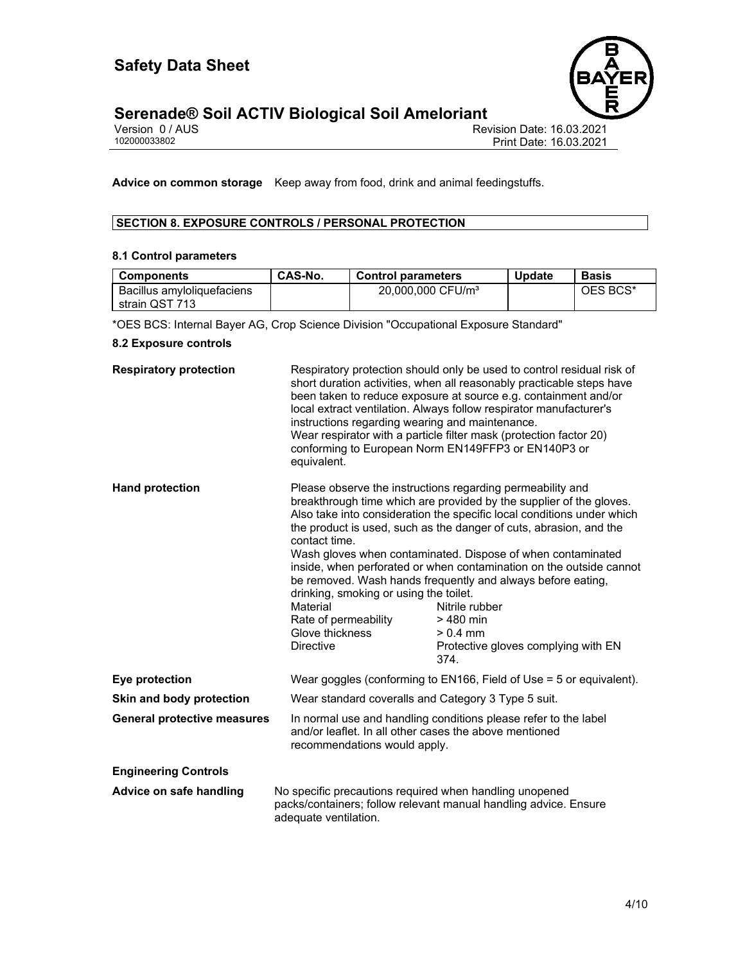

# **Serenade® Soil ACTIV Biological Soil Ameloriant 4/10**

| Version 0 / AUS |  |  |
|-----------------|--|--|
| 102000033802    |  |  |

Revision Date: 16.03.2021 Print Date: 16.03.2021

**Advice on common storage** Keep away from food, drink and animal feedingstuffs.

## **SECTION 8. EXPOSURE CONTROLS / PERSONAL PROTECTION**

#### **8.1 Control parameters**

| <b>Components</b>          | CAS-No. | <b>Control parameters</b>     | <b>Update</b> | <b>Basis</b> |
|----------------------------|---------|-------------------------------|---------------|--------------|
| Bacillus amvioliquefaciens |         | 20,000,000 CFU/m <sup>3</sup> |               | OES BCS*     |
| strain QST 713             |         |                               |               |              |

\*OES BCS: Internal Bayer AG, Crop Science Division "Occupational Exposure Standard"

#### **8.2 Exposure controls**

| <b>Respiratory protection</b>      | instructions regarding wearing and maintenance.<br>equivalent.                                                                     | Respiratory protection should only be used to control residual risk of<br>short duration activities, when all reasonably practicable steps have<br>been taken to reduce exposure at source e.g. containment and/or<br>local extract ventilation. Always follow respirator manufacturer's<br>Wear respirator with a particle filter mask (protection factor 20)<br>conforming to European Norm EN149FFP3 or EN140P3 or                                                                                                                                                              |  |
|------------------------------------|------------------------------------------------------------------------------------------------------------------------------------|------------------------------------------------------------------------------------------------------------------------------------------------------------------------------------------------------------------------------------------------------------------------------------------------------------------------------------------------------------------------------------------------------------------------------------------------------------------------------------------------------------------------------------------------------------------------------------|--|
| <b>Hand protection</b>             | contact time.<br>drinking, smoking or using the toilet.<br>Material<br>Rate of permeability<br>Glove thickness<br><b>Directive</b> | Please observe the instructions regarding permeability and<br>breakthrough time which are provided by the supplier of the gloves.<br>Also take into consideration the specific local conditions under which<br>the product is used, such as the danger of cuts, abrasion, and the<br>Wash gloves when contaminated. Dispose of when contaminated<br>inside, when perforated or when contamination on the outside cannot<br>be removed. Wash hands frequently and always before eating,<br>Nitrile rubber<br>> 480 min<br>$> 0.4$ mm<br>Protective gloves complying with EN<br>374. |  |
| Eye protection                     |                                                                                                                                    | Wear goggles (conforming to EN166, Field of Use $=$ 5 or equivalent).                                                                                                                                                                                                                                                                                                                                                                                                                                                                                                              |  |
| Skin and body protection           |                                                                                                                                    | Wear standard coveralls and Category 3 Type 5 suit.                                                                                                                                                                                                                                                                                                                                                                                                                                                                                                                                |  |
| <b>General protective measures</b> |                                                                                                                                    | In normal use and handling conditions please refer to the label<br>and/or leaflet. In all other cases the above mentioned<br>recommendations would apply.                                                                                                                                                                                                                                                                                                                                                                                                                          |  |
| <b>Engineering Controls</b>        |                                                                                                                                    |                                                                                                                                                                                                                                                                                                                                                                                                                                                                                                                                                                                    |  |
| Advice on safe handling            | No specific precautions required when handling unopened<br>adequate ventilation.                                                   | packs/containers; follow relevant manual handling advice. Ensure                                                                                                                                                                                                                                                                                                                                                                                                                                                                                                                   |  |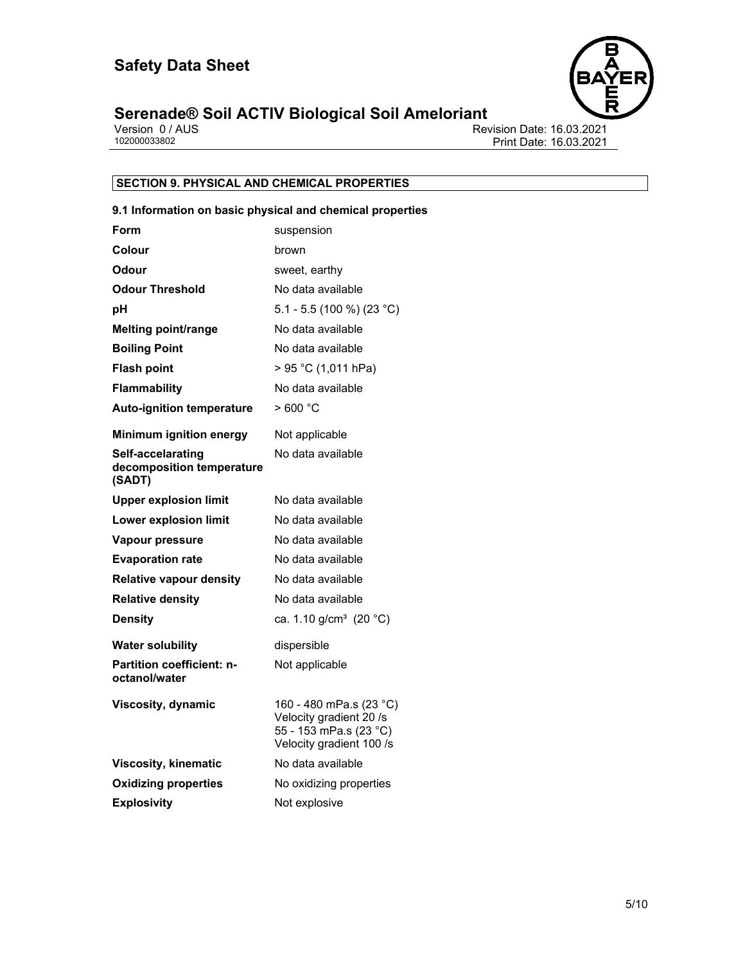

# **Serenade® Soil ACTIV Biological Soil Ameloriant**<br> **Version 0/AUS**<br> **102000033802**

Revision Date: 16.03.2021 Print Date: 16.03.2021

## **SECTION 9. PHYSICAL AND CHEMICAL PROPERTIES**

#### **9.1 Information on basic physical and chemical properties**

| Form                                                     | suspension                                                                                               |
|----------------------------------------------------------|----------------------------------------------------------------------------------------------------------|
| Colour                                                   | brown                                                                                                    |
| Odour                                                    | sweet, earthy                                                                                            |
| <b>Odour Threshold</b>                                   | No data available                                                                                        |
| рH                                                       | 5.1 - 5.5 (100 %) (23 °C)                                                                                |
| <b>Melting point/range</b>                               | No data available                                                                                        |
| <b>Boiling Point</b>                                     | No data available                                                                                        |
| <b>Flash point</b>                                       | > 95 °C (1,011 hPa)                                                                                      |
| <b>Flammability</b>                                      | No data available                                                                                        |
| <b>Auto-ignition temperature</b>                         | >600 °C                                                                                                  |
| Minimum ignition energy                                  | Not applicable                                                                                           |
| Self-accelarating<br>decomposition temperature<br>(SADT) | No data available                                                                                        |
| <b>Upper explosion limit</b>                             | No data available                                                                                        |
| <b>Lower explosion limit</b>                             | No data available                                                                                        |
| Vapour pressure                                          | No data available                                                                                        |
| <b>Evaporation rate</b>                                  | No data available                                                                                        |
| <b>Relative vapour density</b>                           | No data available                                                                                        |
| <b>Relative density</b>                                  | No data available                                                                                        |
| <b>Density</b>                                           | ca. 1.10 g/cm <sup>3</sup> (20 °C)                                                                       |
| <b>Water solubility</b>                                  | dispersible                                                                                              |
| <b>Partition coefficient: n-</b><br>octanol/water        | Not applicable                                                                                           |
| <b>Viscosity, dynamic</b>                                | 160 - 480 mPa.s (23 °C)<br>Velocity gradient 20 /s<br>55 - 153 mPa.s (23 °C)<br>Velocity gradient 100 /s |
| <b>Viscosity, kinematic</b>                              | No data available                                                                                        |
| <b>Oxidizing properties</b>                              | No oxidizing properties                                                                                  |
| <b>Explosivity</b>                                       | Not explosive                                                                                            |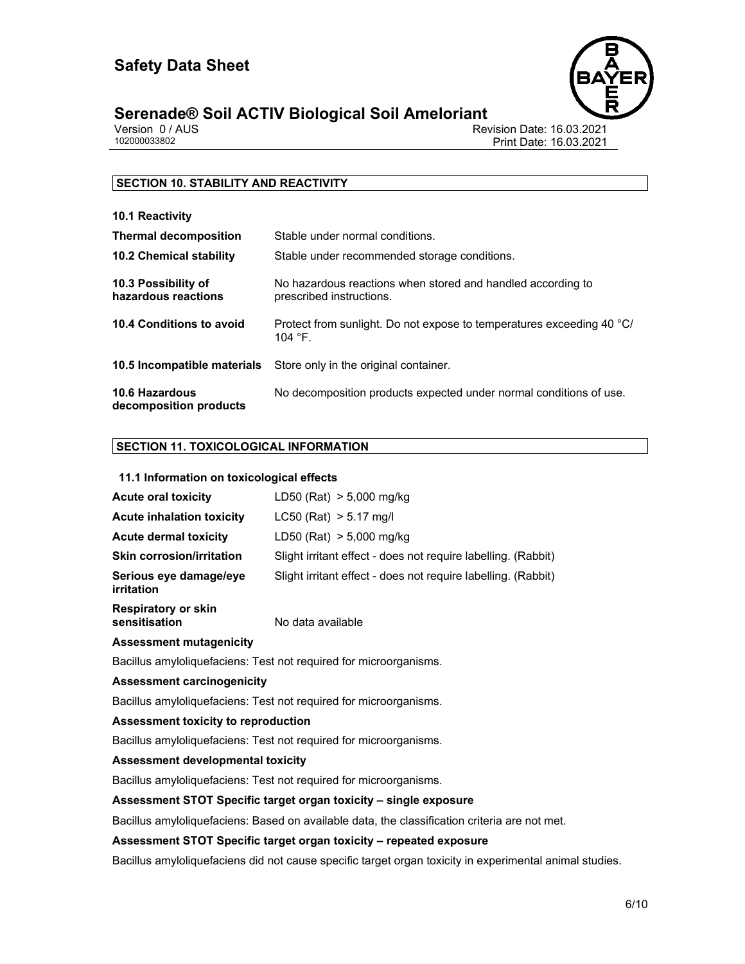

# **Serenade® Soil ACTIV Biological Soil Ameloriant 6/10**

Version 0 / AUS<br>102000033802<br>Print Date: 16.03.2021<br>Print Date: 16.03.2021 Print Date: 16.03.2021

#### **SECTION 10. STABILITY AND REACTIVITY**

| 10.1 Reactivity                            |                                                                                            |
|--------------------------------------------|--------------------------------------------------------------------------------------------|
| <b>Thermal decomposition</b>               | Stable under normal conditions.                                                            |
| <b>10.2 Chemical stability</b>             | Stable under recommended storage conditions.                                               |
| 10.3 Possibility of<br>hazardous reactions | No hazardous reactions when stored and handled according to<br>prescribed instructions.    |
| 10.4 Conditions to avoid                   | Protect from sunlight. Do not expose to temperatures exceeding 40 °C/<br>104 $^{\circ}$ F. |
|                                            | <b>10.5 Incompatible materials</b> Store only in the original container.                   |
| 10.6 Hazardous<br>decomposition products   | No decomposition products expected under normal conditions of use.                         |

#### **SECTION 11. TOXICOLOGICAL INFORMATION**

#### **11.1 Information on toxicological effects**

| <b>Acute oral toxicity</b>           | LD50 (Rat) $> 5,000$ mg/kg                                    |
|--------------------------------------|---------------------------------------------------------------|
| <b>Acute inhalation toxicity</b>     | $LC50$ (Rat) $> 5.17$ mg/l                                    |
| <b>Acute dermal toxicity</b>         | LD50 (Rat) > 5,000 mg/kg                                      |
| <b>Skin corrosion/irritation</b>     | Slight irritant effect - does not require labelling. (Rabbit) |
| Serious eye damage/eye<br>irritation | Slight irritant effect - does not require labelling. (Rabbit) |

**Respiratory or skin** 

**sensitisation** No data available

#### **Assessment mutagenicity**

Bacillus amyloliquefaciens: Test not required for microorganisms.

#### **Assessment carcinogenicity**

Bacillus amyloliquefaciens: Test not required for microorganisms.

#### **Assessment toxicity to reproduction**

Bacillus amyloliquefaciens: Test not required for microorganisms.

#### **Assessment developmental toxicity**

Bacillus amyloliquefaciens: Test not required for microorganisms.

#### **Assessment STOT Specific target organ toxicity – single exposure**

Bacillus amyloliquefaciens: Based on available data, the classification criteria are not met.

#### **Assessment STOT Specific target organ toxicity – repeated exposure**

Bacillus amyloliquefaciens did not cause specific target organ toxicity in experimental animal studies.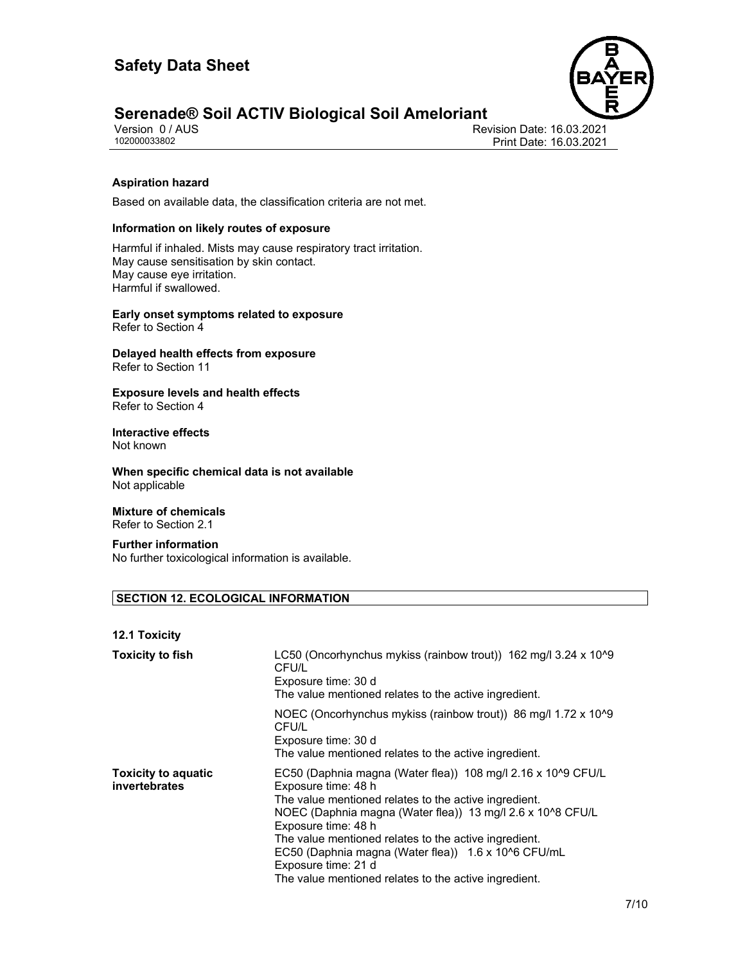

# **Serenade® Soil ACTIV Biological Soil Ameloriant**<br>Version 0/AUS

Version 0 / AUS<br>102000033802<br>Print Date: 16.03.2021<br>Print Date: 16.03.2021 Print Date: 16.03.2021

#### **Aspiration hazard**

Based on available data, the classification criteria are not met.

#### **Information on likely routes of exposure**

Harmful if inhaled. Mists may cause respiratory tract irritation. May cause sensitisation by skin contact. May cause eye irritation. Harmful if swallowed.

**Early onset symptoms related to exposure**  Refer to Section 4

**Delayed health effects from exposure**  Refer to Section 11

**Exposure levels and health effects**  Refer to Section 4

# **Interactive effects**

Not known

**When specific chemical data is not available**  Not applicable

#### **Mixture of chemicals**  Refer to Section 2.1

**Further information**  No further toxicological information is available.

#### **SECTION 12. ECOLOGICAL INFORMATION**

#### **12.1 Toxicity**

| <b>Toxicity to fish</b>                     | LC50 (Oncorhynchus mykiss (rainbow trout)) 162 mg/l 3.24 x 10^9<br>CFU/L<br>Exposure time: 30 d<br>The value mentioned relates to the active ingredient.                                                                                                                                                                                                                                                                          |
|---------------------------------------------|-----------------------------------------------------------------------------------------------------------------------------------------------------------------------------------------------------------------------------------------------------------------------------------------------------------------------------------------------------------------------------------------------------------------------------------|
|                                             | NOEC (Oncorhynchus mykiss (rainbow trout)) 86 mg/l 1.72 x 10 <sup>1</sup> 9<br>CFU/L<br>Exposure time: 30 d<br>The value mentioned relates to the active ingredient.                                                                                                                                                                                                                                                              |
| <b>Toxicity to aquatic</b><br>invertebrates | EC50 (Daphnia magna (Water flea)) 108 mg/l 2.16 x 10^9 CFU/L<br>Exposure time: 48 h<br>The value mentioned relates to the active ingredient.<br>NOEC (Daphnia magna (Water flea)) 13 mg/l 2.6 x 10^8 CFU/L<br>Exposure time: 48 h<br>The value mentioned relates to the active ingredient.<br>EC50 (Daphnia magna (Water flea)) 1.6 x 10^6 CFU/mL<br>Exposure time: 21 d<br>The value mentioned relates to the active ingredient. |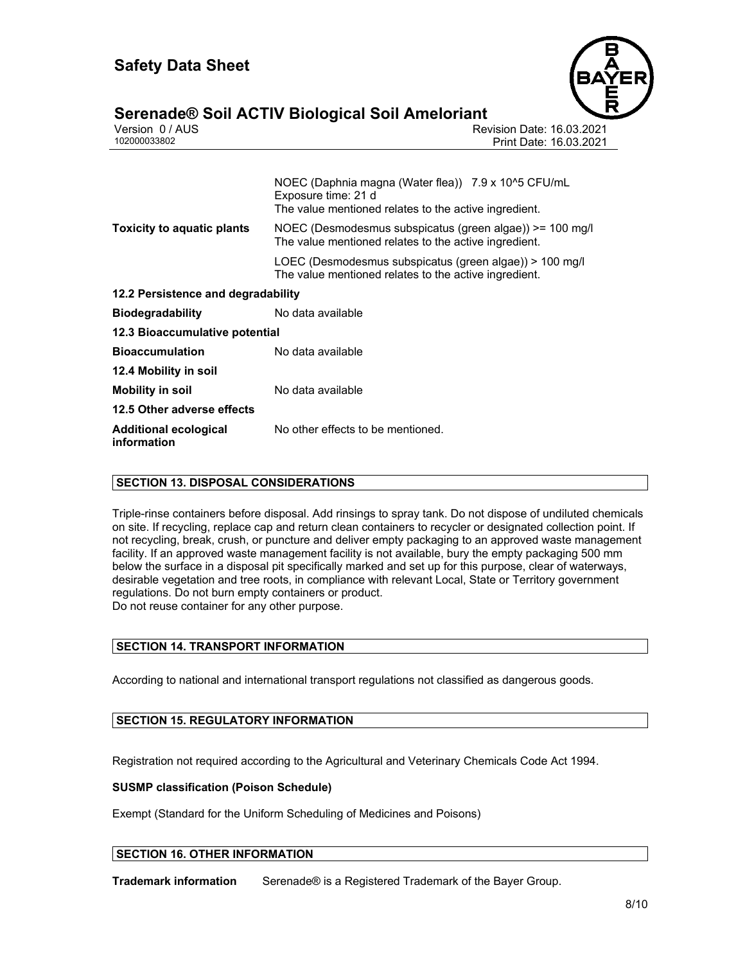

# **Serenade® Soil ACTIV Biological Soil Ameloriant 8/10**

| <u>saranaaco San Ale III Biologiaal Son Aliiolorianii </u> |                                                                                                                                     |  |
|------------------------------------------------------------|-------------------------------------------------------------------------------------------------------------------------------------|--|
| Version 0 / AUS                                            | <b>Revision Date: 16.03.2021</b>                                                                                                    |  |
| 102000033802                                               | Print Date: 16.03.2021                                                                                                              |  |
|                                                            | NOEC (Daphnia magna (Water flea)) 7.9 x 10^5 CFU/mL<br>Exposure time: 21 d<br>The value mentioned relates to the active ingredient. |  |
| <b>Toxicity to aquatic plants</b>                          | NOEC (Desmodesmus subspicatus (green algae)) >= 100 mg/l<br>The value mentioned relates to the active ingredient.                   |  |
|                                                            | LOEC (Desmodesmus subspicatus (green algae)) > 100 mg/l<br>The value mentioned relates to the active ingredient.                    |  |
| 12.2 Persistence and degradability                         |                                                                                                                                     |  |
| <b>Biodegradability</b>                                    | No data available                                                                                                                   |  |
| 12.3 Bioaccumulative potential                             |                                                                                                                                     |  |
| <b>Bioaccumulation</b>                                     | No data available                                                                                                                   |  |
| 12.4 Mobility in soil                                      |                                                                                                                                     |  |
| <b>Mobility in soil</b>                                    | No data available                                                                                                                   |  |

**12.5 Other adverse effects Additional ecological** 

**information** 

No other effects to be mentioned.

#### **SECTION 13. DISPOSAL CONSIDERATIONS**

Triple-rinse containers before disposal. Add rinsings to spray tank. Do not dispose of undiluted chemicals on site. If recycling, replace cap and return clean containers to recycler or designated collection point. If not recycling, break, crush, or puncture and deliver empty packaging to an approved waste management facility. If an approved waste management facility is not available, bury the empty packaging 500 mm below the surface in a disposal pit specifically marked and set up for this purpose, clear of waterways, desirable vegetation and tree roots, in compliance with relevant Local, State or Territory government regulations. Do not burn empty containers or product. Do not reuse container for any other purpose.

#### **SECTION 14. TRANSPORT INFORMATION**

According to national and international transport regulations not classified as dangerous goods.

#### **SECTION 15. REGULATORY INFORMATION**

Registration not required according to the Agricultural and Veterinary Chemicals Code Act 1994.

#### **SUSMP classification (Poison Schedule)**

Exempt (Standard for the Uniform Scheduling of Medicines and Poisons)

#### **SECTION 16. OTHER INFORMATION**

**Trademark information** Serenade® is a Registered Trademark of the Bayer Group.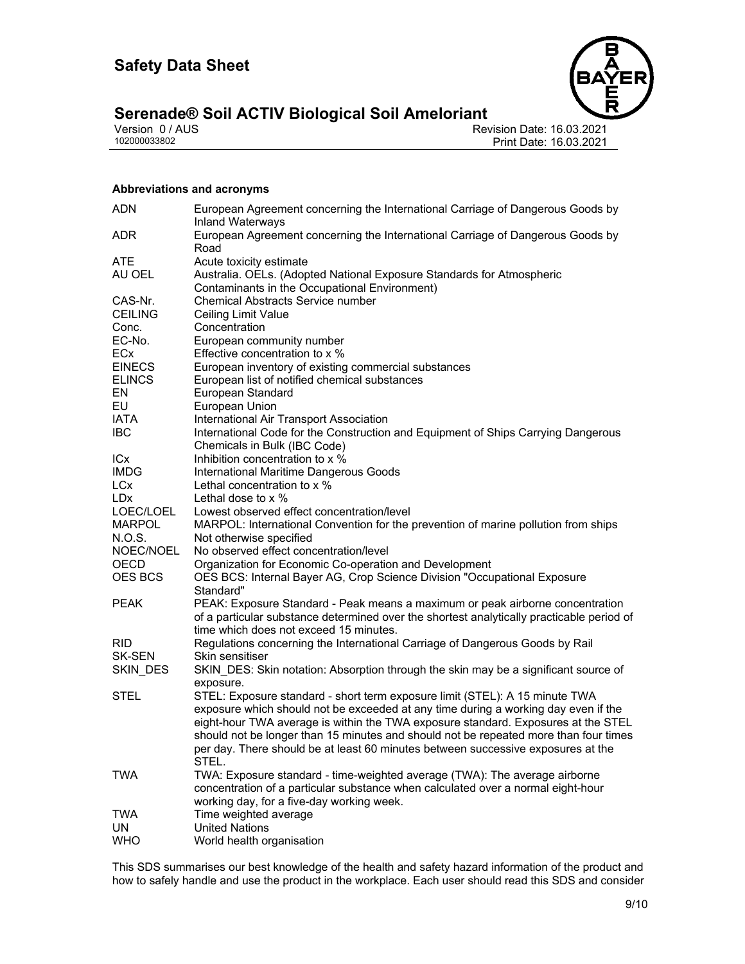

# **Serenade® Soil ACTIV Biological Soil Ameloriant**<br>Version 0/AUS

Version 0 / AUS<br>
102000033802<br>
Print Date: 16.03.2021<br>
Print Date: 16.03.2021 Print Date: 16.03.2021

#### **Abbreviations and acronyms**

| <b>ADN</b>           | European Agreement concerning the International Carriage of Dangerous Goods by<br><b>Inland Waterways</b>                                                                                                            |
|----------------------|----------------------------------------------------------------------------------------------------------------------------------------------------------------------------------------------------------------------|
| <b>ADR</b>           | European Agreement concerning the International Carriage of Dangerous Goods by<br>Road                                                                                                                               |
| <b>ATE</b>           | Acute toxicity estimate                                                                                                                                                                                              |
| AU OEL               | Australia. OELs. (Adopted National Exposure Standards for Atmospheric<br>Contaminants in the Occupational Environment)                                                                                               |
| CAS-Nr.              | <b>Chemical Abstracts Service number</b>                                                                                                                                                                             |
| <b>CEILING</b>       | Ceiling Limit Value                                                                                                                                                                                                  |
| Conc.                | Concentration                                                                                                                                                                                                        |
| EC-No.               | European community number                                                                                                                                                                                            |
| ECx                  | Effective concentration to x %                                                                                                                                                                                       |
| <b>EINECS</b>        | European inventory of existing commercial substances                                                                                                                                                                 |
| <b>ELINCS</b>        | European list of notified chemical substances                                                                                                                                                                        |
| EN                   | European Standard                                                                                                                                                                                                    |
| EU                   | European Union                                                                                                                                                                                                       |
| IATA                 | International Air Transport Association                                                                                                                                                                              |
| <b>IBC</b>           | International Code for the Construction and Equipment of Ships Carrying Dangerous                                                                                                                                    |
|                      | Chemicals in Bulk (IBC Code)                                                                                                                                                                                         |
| ICx                  | Inhibition concentration to x %                                                                                                                                                                                      |
| <b>IMDG</b>          | International Maritime Dangerous Goods                                                                                                                                                                               |
| LCx                  | Lethal concentration to x %                                                                                                                                                                                          |
| LD <sub>x</sub>      | Lethal dose to $\times$ %                                                                                                                                                                                            |
| LOEC/LOEL            | Lowest observed effect concentration/level                                                                                                                                                                           |
| <b>MARPOL</b>        | MARPOL: International Convention for the prevention of marine pollution from ships                                                                                                                                   |
| N.O.S.               | Not otherwise specified                                                                                                                                                                                              |
| NOEC/NOEL            | No observed effect concentration/level                                                                                                                                                                               |
| OECD                 | Organization for Economic Co-operation and Development                                                                                                                                                               |
| OES BCS              | OES BCS: Internal Bayer AG, Crop Science Division "Occupational Exposure<br>Standard"                                                                                                                                |
| <b>PEAK</b>          | PEAK: Exposure Standard - Peak means a maximum or peak airborne concentration<br>of a particular substance determined over the shortest analytically practicable period of<br>time which does not exceed 15 minutes. |
| <b>RID</b><br>SK-SEN | Regulations concerning the International Carriage of Dangerous Goods by Rail<br>Skin sensitiser                                                                                                                      |
| SKIN_DES             | SKIN_DES: Skin notation: Absorption through the skin may be a significant source of                                                                                                                                  |
| <b>STEL</b>          | exposure.<br>STEL: Exposure standard - short term exposure limit (STEL): A 15 minute TWA                                                                                                                             |
|                      | exposure which should not be exceeded at any time during a working day even if the                                                                                                                                   |
|                      | eight-hour TWA average is within the TWA exposure standard. Exposures at the STEL<br>should not be longer than 15 minutes and should not be repeated more than four times                                            |
|                      | per day. There should be at least 60 minutes between successive exposures at the                                                                                                                                     |
|                      | STEL.                                                                                                                                                                                                                |
| <b>TWA</b>           | TWA: Exposure standard - time-weighted average (TWA): The average airborne<br>concentration of a particular substance when calculated over a normal eight-hour                                                       |
|                      | working day, for a five-day working week.                                                                                                                                                                            |
| <b>TWA</b>           | Time weighted average                                                                                                                                                                                                |
| UN                   | <b>United Nations</b>                                                                                                                                                                                                |
| <b>WHO</b>           | World health organisation                                                                                                                                                                                            |

This SDS summarises our best knowledge of the health and safety hazard information of the product and how to safely handle and use the product in the workplace. Each user should read this SDS and consider